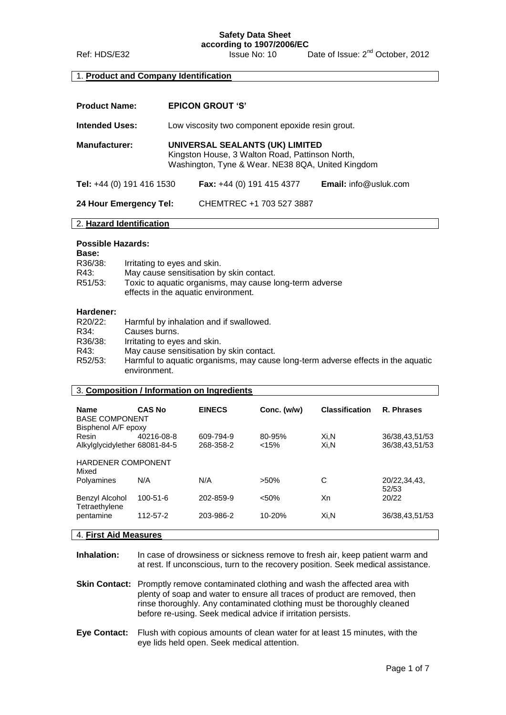**Safety Data Sheet**

**according to 1907/2006/EC**<br>**Issue No: 10** Ref: HDS/E32 **ISSUE No: 10** Date of Issue: 2<sup>nd</sup> October, 2012

### 1. **Product and Company Identification**

| <b>Product Name:</b>      | <b>EPICON GROUT 'S'</b>                                                                                                                 |                                  |                              |
|---------------------------|-----------------------------------------------------------------------------------------------------------------------------------------|----------------------------------|------------------------------|
| <b>Intended Uses:</b>     | Low viscosity two component epoxide resin grout.                                                                                        |                                  |                              |
| <b>Manufacturer:</b>      | UNIVERSAL SEALANTS (UK) LIMITED<br>Kingston House, 3 Walton Road, Pattinson North,<br>Washington, Tyne & Wear. NE38 8QA, United Kingdom |                                  |                              |
| Tel: +44 (0) 191 416 1530 |                                                                                                                                         | <b>Fax:</b> +44 (0) 191 415 4377 | <b>Email:</b> info@usluk.com |
| 24 Hour Emergency Tel:    |                                                                                                                                         | CHEMTREC +1 703 527 3887         |                              |
| 2. Hazard Identification  |                                                                                                                                         |                                  |                              |

#### **Possible Hazards:**

| <b>Base:</b> |                                                                                                |
|--------------|------------------------------------------------------------------------------------------------|
| R36/38:      | Irritating to eyes and skin.                                                                   |
| R43:         | May cause sensitisation by skin contact.                                                       |
| R51/53:      | Toxic to aquatic organisms, may cause long-term adverse<br>effects in the aquatic environment. |

### **Hardener:**

| R20/22: | Harmful by inhalation and if swallowed.                                                          |
|---------|--------------------------------------------------------------------------------------------------|
| R34:    | Causes burns.                                                                                    |
| R36/38: | Irritating to eyes and skin.                                                                     |
| R43:    | May cause sensitisation by skin contact.                                                         |
| R52/53: | Harmful to aquatic organisms, may cause long-term adverse effects in the aquatic<br>environment. |
|         |                                                                                                  |

### 3. **Composition / Information on Ingredients**

| <b>Name</b><br><b>BASE COMPONENT</b><br>Bisphenol A/F epoxy | <b>CAS No</b>  | <b>EINECS</b>          | Conc. (w/w)     | <b>Classification</b> | R. Phrases                       |
|-------------------------------------------------------------|----------------|------------------------|-----------------|-----------------------|----------------------------------|
| Resin<br>Alkylglycidylether 68081-84-5                      | 40216-08-8     | 609-794-9<br>268-358-2 | 80-95%<br>< 15% | Xi.N<br>Xi.N          | 36/38,43,51/53<br>36/38,43,51/53 |
| <b>HARDENER COMPONENT</b><br>Mixed                          |                |                        |                 |                       |                                  |
| Polyamines                                                  | N/A            | N/A                    | $>50\%$         | С                     | 20/22.34.43.<br>52/53            |
| Benzyl Alcohol<br>Tetraethylene                             | $100 - 51 - 6$ | 202-859-9              | < 50%           | Xn                    | 20/22                            |
| pentamine                                                   | 112-57-2       | 203-986-2              | $10 - 20%$      | Xi.N                  | 36/38,43,51/53                   |
|                                                             |                |                        |                 |                       |                                  |

### 4. **First Aid Measures**

**Inhalation:** In case of drowsiness or sickness remove to fresh air, keep patient warm and at rest. If unconscious, turn to the recovery position. Seek medical assistance.

**Skin Contact:** Promptly remove contaminated clothing and wash the affected area with plenty of soap and water to ensure all traces of product are removed, then rinse thoroughly. Any contaminated clothing must be thoroughly cleaned before re-using. Seek medical advice if irritation persists.

**Eye Contact:** Flush with copious amounts of clean water for at least 15 minutes, with the eye lids held open. Seek medical attention.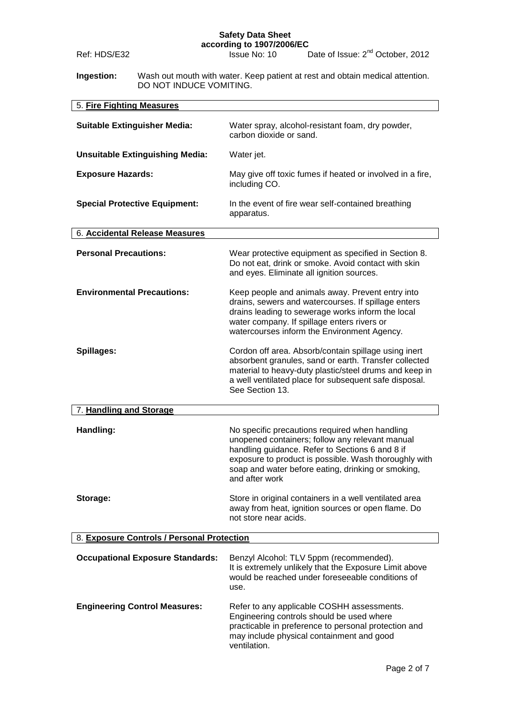#### **Safety Data Sheet according to 1907/2006/EC**

| Ref: HDS/E32                               |                                         | according to 1907/2006/EC<br>Date of Issue: 2 <sup>nd</sup> October, 2012<br>Issue No: 10                                                                                                                                                                                             |  |
|--------------------------------------------|-----------------------------------------|---------------------------------------------------------------------------------------------------------------------------------------------------------------------------------------------------------------------------------------------------------------------------------------|--|
| Ingestion:                                 |                                         | Wash out mouth with water. Keep patient at rest and obtain medical attention.                                                                                                                                                                                                         |  |
|                                            | DO NOT INDUCE VOMITING.                 |                                                                                                                                                                                                                                                                                       |  |
| 5. Fire Fighting Measures                  |                                         |                                                                                                                                                                                                                                                                                       |  |
|                                            | <b>Suitable Extinguisher Media:</b>     | Water spray, alcohol-resistant foam, dry powder,<br>carbon dioxide or sand.                                                                                                                                                                                                           |  |
|                                            | <b>Unsuitable Extinguishing Media:</b>  | Water jet.                                                                                                                                                                                                                                                                            |  |
| <b>Exposure Hazards:</b>                   |                                         | May give off toxic fumes if heated or involved in a fire,<br>including CO.                                                                                                                                                                                                            |  |
|                                            | <b>Special Protective Equipment:</b>    | In the event of fire wear self-contained breathing<br>apparatus.                                                                                                                                                                                                                      |  |
|                                            | 6. Accidental Release Measures          |                                                                                                                                                                                                                                                                                       |  |
| <b>Personal Precautions:</b>               |                                         | Wear protective equipment as specified in Section 8.<br>Do not eat, drink or smoke. Avoid contact with skin<br>and eyes. Eliminate all ignition sources.                                                                                                                              |  |
|                                            | <b>Environmental Precautions:</b>       | Keep people and animals away. Prevent entry into<br>drains, sewers and watercourses. If spillage enters<br>drains leading to sewerage works inform the local<br>water company. If spillage enters rivers or<br>watercourses inform the Environment Agency.                            |  |
| Spillages:                                 |                                         | Cordon off area. Absorb/contain spillage using inert<br>absorbent granules, sand or earth. Transfer collected<br>material to heavy-duty plastic/steel drums and keep in<br>a well ventilated place for subsequent safe disposal.<br>See Section 13.                                   |  |
| 7. Handling and Storage                    |                                         |                                                                                                                                                                                                                                                                                       |  |
| Handling:                                  |                                         | No specific precautions required when handling<br>unopened containers; follow any relevant manual<br>handling guidance. Refer to Sections 6 and 8 if<br>exposure to product is possible. Wash thoroughly with<br>soap and water before eating, drinking or smoking,<br>and after work |  |
| Storage:                                   |                                         | Store in original containers in a well ventilated area<br>away from heat, ignition sources or open flame. Do<br>not store near acids.                                                                                                                                                 |  |
| 8. Exposure Controls / Personal Protection |                                         |                                                                                                                                                                                                                                                                                       |  |
|                                            | <b>Occupational Exposure Standards:</b> | Benzyl Alcohol: TLV 5ppm (recommended).<br>It is extremely unlikely that the Exposure Limit above<br>would be reached under foreseeable conditions of<br>use.                                                                                                                         |  |
| <b>Engineering Control Measures:</b>       |                                         | Refer to any applicable COSHH assessments.<br>Engineering controls should be used where<br>practicable in preference to personal protection and<br>may include physical containment and good<br>ventilation.                                                                          |  |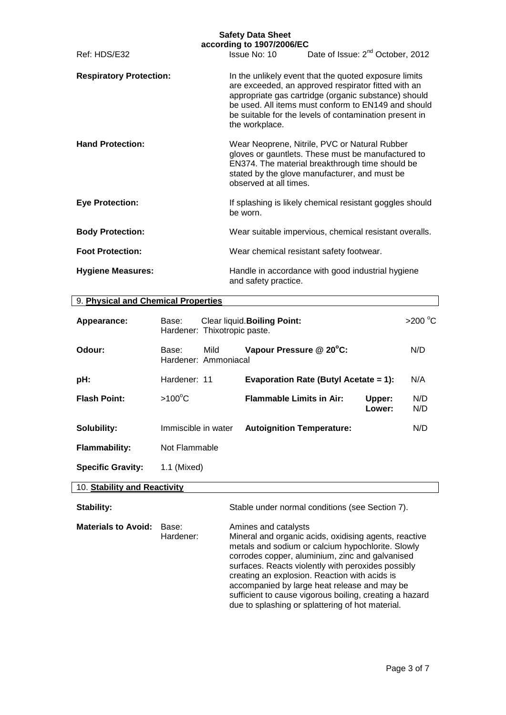|                                | <b>Safety Data Sheet</b><br>according to 1907/2006/EC |                                                                                                                                                                                                                                                                                       |
|--------------------------------|-------------------------------------------------------|---------------------------------------------------------------------------------------------------------------------------------------------------------------------------------------------------------------------------------------------------------------------------------------|
| Ref: HDS/E32                   | Issue No: 10                                          | Date of Issue: 2 <sup>nd</sup> October, 2012                                                                                                                                                                                                                                          |
| <b>Respiratory Protection:</b> | the workplace.                                        | In the unlikely event that the quoted exposure limits<br>are exceeded, an approved respirator fitted with an<br>appropriate gas cartridge (organic substance) should<br>be used. All items must conform to EN149 and should<br>be suitable for the levels of contamination present in |
| <b>Hand Protection:</b>        | observed at all times.                                | Wear Neoprene, Nitrile, PVC or Natural Rubber<br>gloves or gauntlets. These must be manufactured to<br>EN374. The material breakthrough time should be<br>stated by the glove manufacturer, and must be                                                                               |
| <b>Eye Protection:</b>         | be worn.                                              | If splashing is likely chemical resistant goggles should                                                                                                                                                                                                                              |
| <b>Body Protection:</b>        |                                                       | Wear suitable impervious, chemical resistant overalls.                                                                                                                                                                                                                                |
| <b>Foot Protection:</b>        |                                                       | Wear chemical resistant safety footwear.                                                                                                                                                                                                                                              |
| <b>Hygiene Measures:</b>       | and safety practice.                                  | Handle in accordance with good industrial hygiene                                                                                                                                                                                                                                     |

### 9. **Physical and Chemical Properties**

| Appearance:                  | Base:               | Hardener: Thixotropic paste. | Clear liquid. Boiling Point:          |                  | >200 $\degree$ C |
|------------------------------|---------------------|------------------------------|---------------------------------------|------------------|------------------|
| Odour:                       | Base:               | Mild<br>Hardener: Ammoniacal | Vapour Pressure @ 20°C:               |                  | N/D              |
| pH:                          | Hardener: 11        |                              | Evaporation Rate (Butyl Acetate = 1): |                  | N/A              |
| <b>Flash Point:</b>          | $>100^{\circ}$ C    |                              | <b>Flammable Limits in Air:</b>       | Upper:<br>Lower: | N/D<br>N/D       |
| Solubility:                  | Immiscible in water |                              | <b>Autoignition Temperature:</b>      |                  | N/D              |
| <b>Flammability:</b>         | Not Flammable       |                              |                                       |                  |                  |
| <b>Specific Gravity:</b>     | 1.1 (Mixed)         |                              |                                       |                  |                  |
| 10. Stability and Reactivity |                     |                              |                                       |                  |                  |

## Stability: Stable under normal conditions (see Section 7). **Materials to Avoid:** Base: Amines and catalysts Hardener: Mineral and organic acids, oxidising agents, reactive metals and sodium or calcium hypochlorite. Slowly corrodes copper, aluminium, zinc and galvanised surfaces. Reacts violently with peroxides possibly creating an explosion. Reaction with acids is accompanied by large heat release and may be sufficient to cause vigorous boiling, creating a hazard due to splashing or splattering of hot material.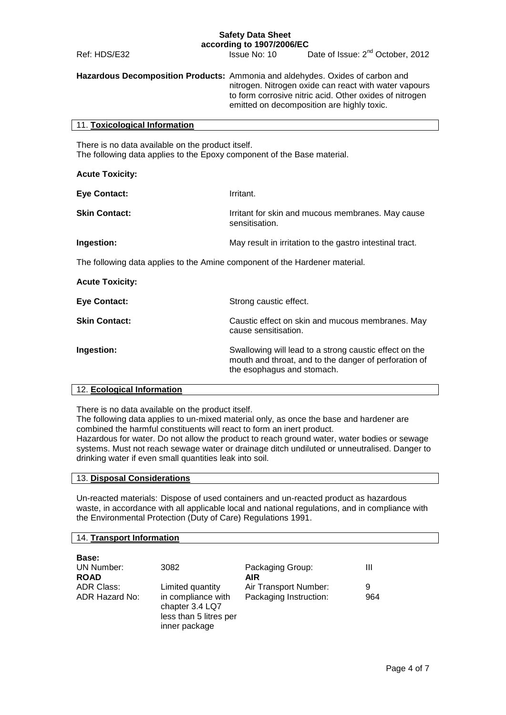# **Safety Data Sheet**

**according to 1907/2006/EC**

Ref: HDS/E32 **ISSUE No: 10** Date of Issue: 2<sup>nd</sup> October, 2012 **Hazardous Decomposition Products:** Ammonia and aldehydes. Oxides of carbon and nitrogen. Nitrogen oxide can react with water vapours to form corrosive nitric acid. Other oxides of nitrogen emitted on decomposition are highly toxic. 11. **Toxicological Information** There is no data available on the product itself. The following data applies to the Epoxy component of the Base material. **Acute Toxicity: Eye Contact:** Irritant. **Skin Contact:** Irritant for skin and mucous membranes. May cause sensitisation. **Ingestion:** May result in irritation to the gastro intestinal tract. The following data applies to the Amine component of the Hardener material. **Acute Toxicity:**

| Eye Contact:         | Strong caustic effect.                                                                                                                        |
|----------------------|-----------------------------------------------------------------------------------------------------------------------------------------------|
| <b>Skin Contact:</b> | Caustic effect on skin and mucous membranes. May<br>cause sensitisation.                                                                      |
| Ingestion:           | Swallowing will lead to a strong caustic effect on the<br>mouth and throat, and to the danger of perforation of<br>the esophagus and stomach. |

### 12. **Ecological Information**

There is no data available on the product itself.

The following data applies to un-mixed material only, as once the base and hardener are combined the harmful constituents will react to form an inert product.

Hazardous for water. Do not allow the product to reach ground water, water bodies or sewage systems. Must not reach sewage water or drainage ditch undiluted or unneutralised. Danger to drinking water if even small quantities leak into soil.

### 13. **Disposal Considerations**

Un-reacted materials: Dispose of used containers and un-reacted product as hazardous waste, in accordance with all applicable local and national regulations, and in compliance with the Environmental Protection (Duty of Care) Regulations 1991.

### 14. **Transport Information**

| <b>Base:</b>              |                                                                                  |                                |     |
|---------------------------|----------------------------------------------------------------------------------|--------------------------------|-----|
| UN Number:<br><b>ROAD</b> | 3082                                                                             | Packaging Group:<br><b>AIR</b> | Ш   |
| <b>ADR Class:</b>         | Limited quantity                                                                 | Air Transport Number:          | 9   |
| ADR Hazard No:            | in compliance with<br>chapter 3.4 LQ7<br>less than 5 litres per<br>inner package | Packaging Instruction:         | 964 |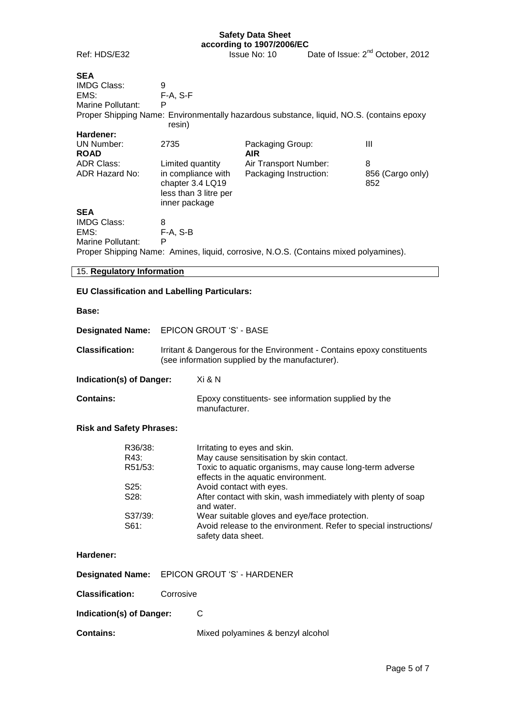# **Safety Data Sheet**

Ref: HDS/E32

| according to 1907/2006/EC |                                              |
|---------------------------|----------------------------------------------|
| <b>Issue No: 10</b>       | Date of Issue: 2 <sup>nd</sup> October, 2012 |

| <b>SEA</b>                 |                                                                                  |                                                                                          |                         |
|----------------------------|----------------------------------------------------------------------------------|------------------------------------------------------------------------------------------|-------------------------|
| <b>IMDG Class:</b>         | 9                                                                                |                                                                                          |                         |
| EMS:                       | $F-A, S-F$                                                                       |                                                                                          |                         |
| Marine Pollutant:          | P                                                                                |                                                                                          |                         |
|                            | resin)                                                                           | Proper Shipping Name: Environmentally hazardous substance, liquid, NO.S. (contains epoxy |                         |
| Hardener:                  |                                                                                  |                                                                                          |                         |
| UN Number:<br><b>ROAD</b>  | 2735                                                                             | Packaging Group:<br>AIR.                                                                 | Ш                       |
| <b>ADR Class:</b>          | Limited quantity                                                                 | Air Transport Number:                                                                    | 8                       |
| ADR Hazard No:             | in compliance with<br>chapter 3.4 LQ19<br>less than 3 litre per<br>inner package | Packaging Instruction:                                                                   | 856 (Cargo only)<br>852 |
| <b>SEA</b>                 |                                                                                  |                                                                                          |                         |
| <b>IMDG Class:</b>         | 8                                                                                |                                                                                          |                         |
| EMS:                       | $F-A, S-B$                                                                       |                                                                                          |                         |
| Marine Pollutant:          | P                                                                                |                                                                                          |                         |
|                            |                                                                                  | Proper Shipping Name: Amines, liquid, corrosive, N.O.S. (Contains mixed polyamines).     |                         |
| 15. Regulatory Information |                                                                                  |                                                                                          |                         |
|                            | <b>EU Classification and Labelling Particulars:</b>                              |                                                                                          |                         |
| Base:                      |                                                                                  |                                                                                          |                         |

| <b>Designated Name:</b>                                          | <b>EPICON GROUT 'S' - BASE</b>                                                                                            |                                                                                                                                                                                                                                                                                                                                                                                                                                  |  |  |
|------------------------------------------------------------------|---------------------------------------------------------------------------------------------------------------------------|----------------------------------------------------------------------------------------------------------------------------------------------------------------------------------------------------------------------------------------------------------------------------------------------------------------------------------------------------------------------------------------------------------------------------------|--|--|
| <b>Classification:</b>                                           | Irritant & Dangerous for the Environment - Contains epoxy constituents<br>(see information supplied by the manufacturer). |                                                                                                                                                                                                                                                                                                                                                                                                                                  |  |  |
| Indication(s) of Danger:                                         |                                                                                                                           | Xi & N                                                                                                                                                                                                                                                                                                                                                                                                                           |  |  |
| <b>Contains:</b>                                                 |                                                                                                                           | Epoxy constituents- see information supplied by the<br>manufacturer.                                                                                                                                                                                                                                                                                                                                                             |  |  |
| <b>Risk and Safety Phrases:</b>                                  |                                                                                                                           |                                                                                                                                                                                                                                                                                                                                                                                                                                  |  |  |
| R36/38:<br>R43:<br>R51/53:<br>$S25$ :<br>S28:<br>S37/39:<br>S61: |                                                                                                                           | Irritating to eyes and skin.<br>May cause sensitisation by skin contact.<br>Toxic to aquatic organisms, may cause long-term adverse<br>effects in the aquatic environment.<br>Avoid contact with eyes.<br>After contact with skin, wash immediately with plenty of soap<br>and water.<br>Wear suitable gloves and eye/face protection.<br>Avoid release to the environment. Refer to special instructions/<br>safety data sheet. |  |  |
| Hardener:                                                        |                                                                                                                           |                                                                                                                                                                                                                                                                                                                                                                                                                                  |  |  |
| <b>Designated Name:</b>                                          |                                                                                                                           | EPICON GROUT 'S' - HARDENER                                                                                                                                                                                                                                                                                                                                                                                                      |  |  |
| <b>Classification:</b>                                           | Corrosive                                                                                                                 |                                                                                                                                                                                                                                                                                                                                                                                                                                  |  |  |
| Indication(s) of Danger:                                         |                                                                                                                           | C                                                                                                                                                                                                                                                                                                                                                                                                                                |  |  |
| <b>Contains:</b>                                                 |                                                                                                                           | Mixed polyamines & benzyl alcohol                                                                                                                                                                                                                                                                                                                                                                                                |  |  |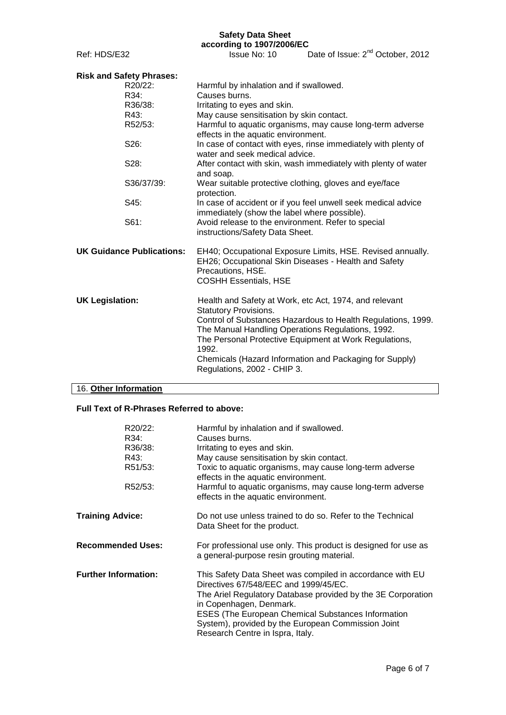### **Safety Data Sheet according to 1907/2006/EC**

Ref: HDS/E32 **ISSUE No: 10** Date of Issue: 2<sup>nd</sup> October, 2012

| <b>Risk and Safety Phrases:</b>  |                                                                                                                                                                                                                                                                                                                                                                          |  |  |  |  |
|----------------------------------|--------------------------------------------------------------------------------------------------------------------------------------------------------------------------------------------------------------------------------------------------------------------------------------------------------------------------------------------------------------------------|--|--|--|--|
| R20/22:                          | Harmful by inhalation and if swallowed.                                                                                                                                                                                                                                                                                                                                  |  |  |  |  |
| R34:                             | Causes burns.                                                                                                                                                                                                                                                                                                                                                            |  |  |  |  |
| R36/38:                          | Irritating to eyes and skin.                                                                                                                                                                                                                                                                                                                                             |  |  |  |  |
| R43:                             | May cause sensitisation by skin contact.                                                                                                                                                                                                                                                                                                                                 |  |  |  |  |
| R52/53:                          | Harmful to aquatic organisms, may cause long-term adverse<br>effects in the aquatic environment.                                                                                                                                                                                                                                                                         |  |  |  |  |
| S26:                             | In case of contact with eyes, rinse immediately with plenty of<br>water and seek medical advice.                                                                                                                                                                                                                                                                         |  |  |  |  |
| S28:                             | After contact with skin, wash immediately with plenty of water<br>and soap.                                                                                                                                                                                                                                                                                              |  |  |  |  |
| S36/37/39:                       | Wear suitable protective clothing, gloves and eye/face<br>protection.                                                                                                                                                                                                                                                                                                    |  |  |  |  |
| S45:                             | In case of accident or if you feel unwell seek medical advice<br>immediately (show the label where possible).                                                                                                                                                                                                                                                            |  |  |  |  |
| S61:                             | Avoid release to the environment. Refer to special<br>instructions/Safety Data Sheet.                                                                                                                                                                                                                                                                                    |  |  |  |  |
| <b>UK Guidance Publications:</b> | EH40; Occupational Exposure Limits, HSE. Revised annually.<br>EH26; Occupational Skin Diseases - Health and Safety<br>Precautions, HSE.<br><b>COSHH Essentials, HSE</b>                                                                                                                                                                                                  |  |  |  |  |
| <b>UK Legislation:</b>           | Health and Safety at Work, etc Act, 1974, and relevant<br><b>Statutory Provisions.</b><br>Control of Substances Hazardous to Health Regulations, 1999.<br>The Manual Handling Operations Regulations, 1992.<br>The Personal Protective Equipment at Work Regulations,<br>1992.<br>Chemicals (Hazard Information and Packaging for Supply)<br>Regulations, 2002 - CHIP 3. |  |  |  |  |
|                                  |                                                                                                                                                                                                                                                                                                                                                                          |  |  |  |  |

# 16. **Other Information**

### **Full Text of R-Phrases Referred to above:**

|                             | R20/22:<br>R34:<br>R36/38:<br>R43:<br>R51/53:<br>R52/53: | Harmful by inhalation and if swallowed.<br>Causes burns.<br>Irritating to eyes and skin.<br>May cause sensitisation by skin contact.<br>Toxic to aquatic organisms, may cause long-term adverse<br>effects in the aquatic environment.<br>Harmful to aquatic organisms, may cause long-term adverse<br>effects in the aquatic environment.           |  |
|-----------------------------|----------------------------------------------------------|------------------------------------------------------------------------------------------------------------------------------------------------------------------------------------------------------------------------------------------------------------------------------------------------------------------------------------------------------|--|
| <b>Training Advice:</b>     |                                                          | Do not use unless trained to do so. Refer to the Technical<br>Data Sheet for the product.                                                                                                                                                                                                                                                            |  |
| <b>Recommended Uses:</b>    |                                                          | For professional use only. This product is designed for use as<br>a general-purpose resin grouting material.                                                                                                                                                                                                                                         |  |
| <b>Further Information:</b> |                                                          | This Safety Data Sheet was compiled in accordance with EU<br>Directives 67/548/EEC and 1999/45/EC.<br>The Ariel Regulatory Database provided by the 3E Corporation<br>in Copenhagen, Denmark.<br><b>ESES (The European Chemical Substances Information</b><br>System), provided by the European Commission Joint<br>Research Centre in Ispra, Italy. |  |